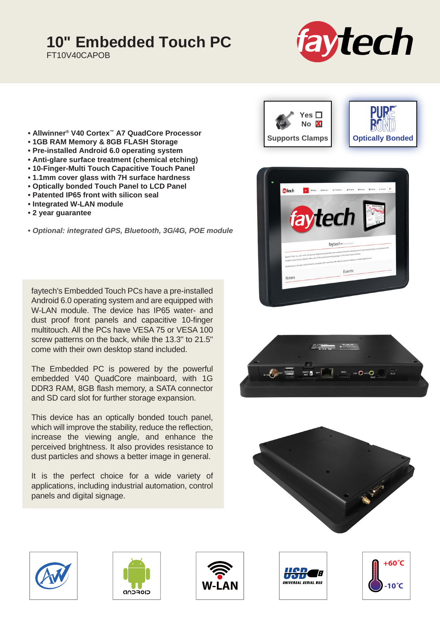## **10" Embedded Touch PC**

FT10V40CAPOB



- **Allwinner® V40 Cortex™ A7 QuadCore Processor**
- **1GB RAM Memory & 8GB FLASH Storage**
- **Pre-installed Android 6.0 operating system**
- **Anti-glare surface treatment (chemical etching)**
- **10-Finger-Multi Touch Capacitive Touch Panel**
- **1.1mm cover glass with 7H surface hardness**
- **Optically bonded Touch Panel to LCD Panel**
- **Patented IP65 front with silicon seal**
- **Integrated W-LAN module**
- **2 year guarantee**

**•** *Optional: integrated GPS, Bluetooth, 3G/4G, POE module*

faytech's Embedded Touch PCs have a pre-installed Android 6.0 operating system and are equipped with W-LAN module. The device has IP65 water- and dust proof front panels and capacitive 10-finger multitouch. All the PCs have VESA 75 or VESA 100 screw patterns on the back, while the 13.3" to 21.5" come with their own desktop stand included.

The Embedded PC is powered by the powerful embedded V40 QuadCore mainboard, with 1G DDR3 RAM, 8GB flash memory, a SATA connector and SD card slot for further storage expansion.

This device has an optically bonded touch panel, which will improve the stability, reduce the reflection, increase the viewing angle, and enhance the perceived brightness. It also provides resistance to dust particles and shows a better image in general.

It is the perfect choice for a wide variety of applications, including industrial automation, control panels and digital signage.